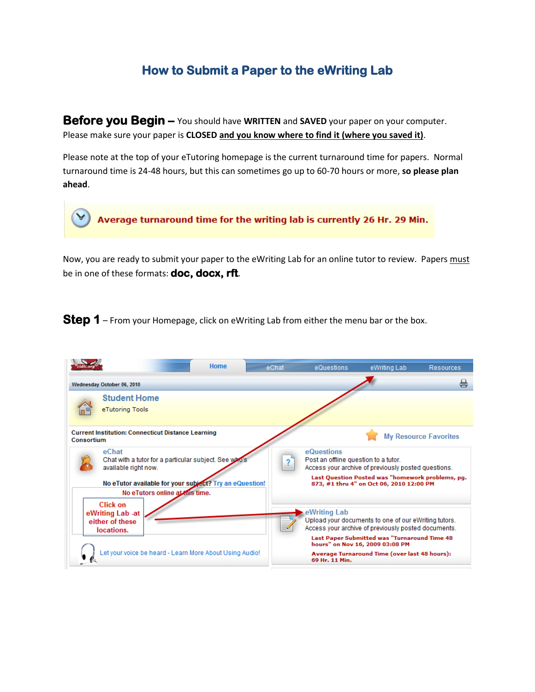## **How to Submit a Paper to the eWriting Lab**

**Before you Begin –** You should have WRITTEN and **SAVED** your paper on your computer. Please make sure your paper is **CLOSED and you know where to find it (where you saved it)**.

Please note at the top of your eTutoring homepage is the current turnaround time for papers. Normal turnaround time is 24-48 hours, but this can sometimes go up to 60-70 hours or more, **so please plan ahead**.

Average turnaround time for the writing lab is currently 26 Hr. 29 Min.

Now, you are ready to submit your paper to the eWriting Lab for an online tutor to review. Papers must be in one of these formats: **doc, docx, rft**.

**Step 1** – From your Homepage, click on eWriting Lab from either the menu bar or the box.

| Home                                                                                                                                                                                 | eChat | eQuestions                                         | eWriting Lab                                                                                                                                                                                                                                           | <b>Resources</b>             |
|--------------------------------------------------------------------------------------------------------------------------------------------------------------------------------------|-------|----------------------------------------------------|--------------------------------------------------------------------------------------------------------------------------------------------------------------------------------------------------------------------------------------------------------|------------------------------|
| Wednesday October 06, 2010                                                                                                                                                           |       |                                                    |                                                                                                                                                                                                                                                        | 능                            |
| <b>Student Home</b><br>eTutoring Tools                                                                                                                                               |       |                                                    |                                                                                                                                                                                                                                                        |                              |
| <b>Current Institution: Connecticut Distance Learning</b><br>Consortium                                                                                                              |       |                                                    |                                                                                                                                                                                                                                                        | <b>My Resource Favorites</b> |
| eChat<br>Chat with a tutor for a particular subject. See who's<br>available right now.<br>No eTutor available for your subject? Try an eQuestion!<br>No eTutors online at this time. |       | eQuestions<br>Post an offline question to a tutor. | Access your archive of previously posted questions.<br>Last Question Posted was "homework problems, pq.<br>873, #1 thru 4" on Oct 06, 2010 12:00 PM                                                                                                    |                              |
| Click on<br>eWriting Lab -at<br>either of these<br>locations.<br>Let your voice be heard - Learn More About Using Audio!                                                             |       | eWriting Lab<br>69 Hr. 11 Min.                     | Upload your documents to one of our eWriting tutors.<br>Access your archive of previously posted documents.<br><b>Last Paper Submitted was "Turnaround Time 48</b><br>hours" on Nov 16, 2009 03:08 PM<br>Average Turnaround Time (over last 48 hours): |                              |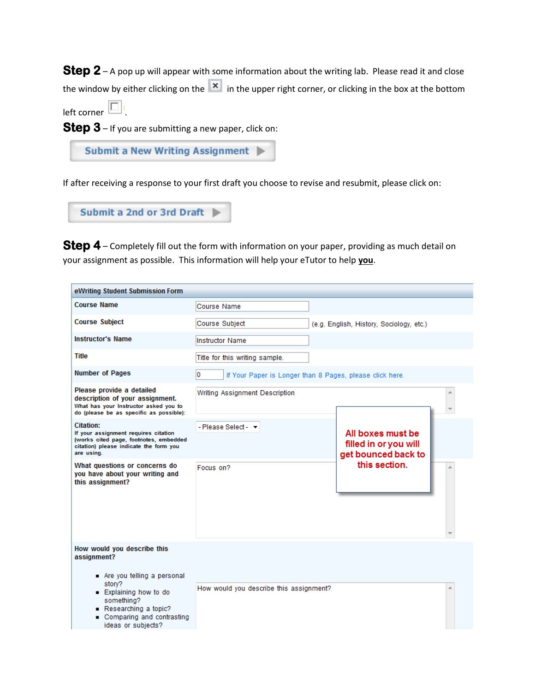**Step 2** – A pop up will appear with some information about the writing lab. Please read it and close the window by either clicking on the  $\overline{X}$  in the upper right corner, or clicking in the box at the bottom

left corner  $\Box$ 

**Step 3** – If you are submitting a new paper, click on:

```
Submit a New Writing Assignment
```
If after receiving a response to your first draft you choose to revise and resubmit, please click on:

```
Submit a 2nd or 3rd Draft |
```
**Step 4** – Completely fill out the form with information on your paper, providing as much detail on your assignment as possible. This information will help your eTutor to help **you**.

| eWriting Student Submission Form                                                                                                                        |                                                                 |                                            |  |
|---------------------------------------------------------------------------------------------------------------------------------------------------------|-----------------------------------------------------------------|--------------------------------------------|--|
| <b>Course Name</b>                                                                                                                                      | Course Name                                                     |                                            |  |
| <b>Course Subject</b>                                                                                                                                   | <b>Course Subject</b>                                           | (e.g. English, History, Sociology, etc.)   |  |
| <b>Instructor's Name</b>                                                                                                                                | <b>Instructor Name</b>                                          |                                            |  |
| <b>Title</b>                                                                                                                                            | Title for this writing sample.                                  |                                            |  |
| <b>Number of Pages</b>                                                                                                                                  | l0.<br>If Your Paper is Longer than 8 Pages, please click here. |                                            |  |
| Please provide a detailed<br>description of your assignment.<br>What has your Instructor asked you to<br>do (please be as specific as possible):        | Writing Assignment Description                                  |                                            |  |
| <b>Citation:</b><br>If your assignment requires citation<br>(works cited page, footnotes, embedded<br>citation) please indicate the form you            | - Please Select - $\blacktriangledown$                          | All boxes must be<br>filled in or you will |  |
| are using.<br>What questions or concerns do<br>you have about your writing and<br>this assignment?                                                      | Focus on?                                                       | get bounced back to<br>this section.       |  |
| How would you describe this<br>assignment?                                                                                                              |                                                                 |                                            |  |
| Are you telling a personal<br>story?<br>■ Explaining how to do<br>something?<br>Researching a topic?<br>■ Comparing and contrasting<br>Cebaidue no eabi | How would you describe this assignment?                         |                                            |  |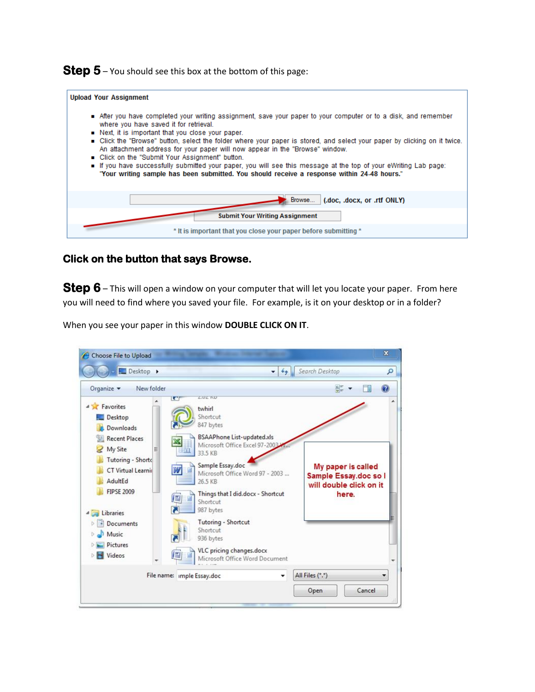**Step 5** – You should see this box at the bottom of this page:

| <b>Upload Your Assignment</b>                                                                                                                                                                                                                                                                                                                                                                                                                                                                                                                                                                                                                                                              |
|--------------------------------------------------------------------------------------------------------------------------------------------------------------------------------------------------------------------------------------------------------------------------------------------------------------------------------------------------------------------------------------------------------------------------------------------------------------------------------------------------------------------------------------------------------------------------------------------------------------------------------------------------------------------------------------------|
| After you have completed your writing assignment, save your paper to your computer or to a disk, and remember<br>where you have saved it for retrieval.<br>Next, it is important that you close your paper.<br>■ Click the "Browse" button, select the folder where your paper is stored, and select your paper by clicking on it twice.<br>An attachment address for your paper will now appear in the "Browse" window.<br>Click on the "Submit Your Assignment" button.<br>If you have successfully submitted your paper, you will see this message at the top of your eWriting Lab page:<br>"Your writing sample has been submitted. You should receive a response within 24-48 hours." |
| Browse<br>(.doc, .docx, or .rtf ONLY)                                                                                                                                                                                                                                                                                                                                                                                                                                                                                                                                                                                                                                                      |
| <b>Submit Your Writing Assignment</b>                                                                                                                                                                                                                                                                                                                                                                                                                                                                                                                                                                                                                                                      |
| * It is important that you close your paper before submitting *                                                                                                                                                                                                                                                                                                                                                                                                                                                                                                                                                                                                                            |

## **Click on the button that says Browse.**

**Step 6** – This will open a window on your computer that will let you locate your paper. From here you will need to find where you saved your file. For example, is it on your desktop or in a folder?

When you see your paper in this window **DOUBLE CLICK ON IT**.